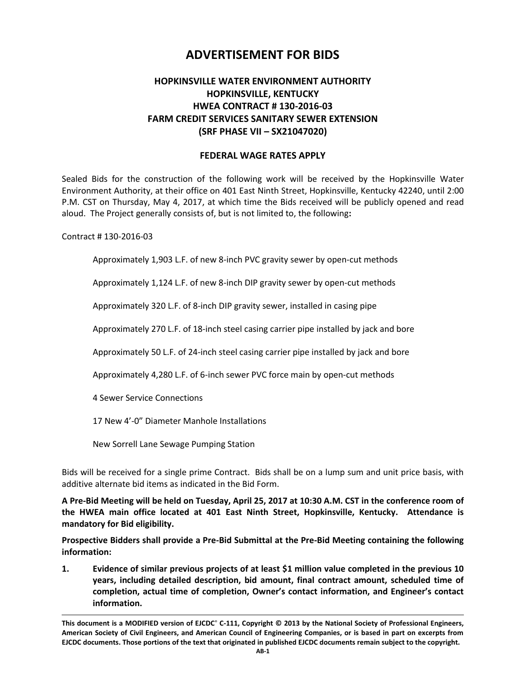# **ADVERTISEMENT FOR BIDS**

## **HOPKINSVILLE WATER ENVIRONMENT AUTHORITY HOPKINSVILLE, KENTUCKY HWEA CONTRACT # 130-2016-03 FARM CREDIT SERVICES SANITARY SEWER EXTENSION (SRF PHASE VII – SX21047020)**

### **FEDERAL WAGE RATES APPLY**

Sealed Bids for the construction of the following work will be received by the Hopkinsville Water Environment Authority, at their office on 401 East Ninth Street, Hopkinsville, Kentucky 42240, until 2:00 P.M. CST on Thursday, May 4, 2017, at which time the Bids received will be publicly opened and read aloud. The Project generally consists of, but is not limited to, the following**:**

Contract # 130-2016-03

Approximately 1,903 L.F. of new 8-inch PVC gravity sewer by open-cut methods

Approximately 1,124 L.F. of new 8-inch DIP gravity sewer by open-cut methods

Approximately 320 L.F. of 8-inch DIP gravity sewer, installed in casing pipe

Approximately 270 L.F. of 18-inch steel casing carrier pipe installed by jack and bore

Approximately 50 L.F. of 24-inch steel casing carrier pipe installed by jack and bore

Approximately 4,280 L.F. of 6-inch sewer PVC force main by open-cut methods

4 Sewer Service Connections

17 New 4'-0" Diameter Manhole Installations

New Sorrell Lane Sewage Pumping Station

Bids will be received for a single prime Contract. Bids shall be on a lump sum and unit price basis, with additive alternate bid items as indicated in the Bid Form.

**A Pre-Bid Meeting will be held on Tuesday, April 25, 2017 at 10:30 A.M. CST in the conference room of the HWEA main office located at 401 East Ninth Street, Hopkinsville, Kentucky. Attendance is mandatory for Bid eligibility.**

**Prospective Bidders shall provide a Pre-Bid Submittal at the Pre-Bid Meeting containing the following information:**

**1. Evidence of similar previous projects of at least \$1 million value completed in the previous 10 years, including detailed description, bid amount, final contract amount, scheduled time of completion, actual time of completion, Owner's contact information, and Engineer's contact information.**

**This document is a MODIFIED version of EJCDC**® **C-111, Copyright © 2013 by the National Society of Professional Engineers, American Society of Civil Engineers, and American Council of Engineering Companies, or is based in part on excerpts from EJCDC documents. Those portions of the text that originated in published EJCDC documents remain subject to the copyright.**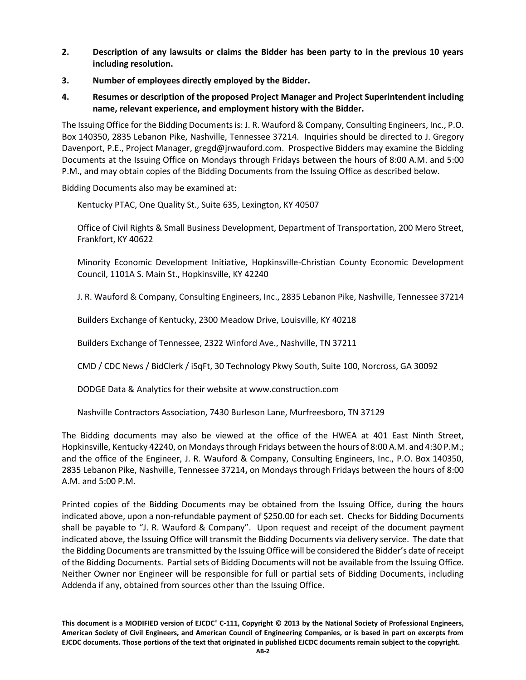- **2. Description of any lawsuits or claims the Bidder has been party to in the previous 10 years including resolution.**
- **3. Number of employees directly employed by the Bidder.**
- **4. Resumes or description of the proposed Project Manager and Project Superintendent including name, relevant experience, and employment history with the Bidder.**

The Issuing Office for the Bidding Documents is: J. R. Wauford & Company, Consulting Engineers, Inc., P.O. Box 140350, 2835 Lebanon Pike, Nashville, Tennessee 37214. Inquiries should be directed to J. Gregory Davenport, P.E., Project Manager, gregd@jrwauford.com. Prospective Bidders may examine the Bidding Documents at the Issuing Office on Mondays through Fridays between the hours of 8:00 A.M. and 5:00 P.M., and may obtain copies of the Bidding Documents from the Issuing Office as described below.

Bidding Documents also may be examined at:

Kentucky PTAC, One Quality St., Suite 635, Lexington, KY 40507

Office of Civil Rights & Small Business Development, Department of Transportation, 200 Mero Street, Frankfort, KY 40622

Minority Economic Development Initiative, Hopkinsville-Christian County Economic Development Council, 1101A S. Main St., Hopkinsville, KY 42240

J. R. Wauford & Company, Consulting Engineers, Inc., 2835 Lebanon Pike, Nashville, Tennessee 37214

Builders Exchange of Kentucky, 2300 Meadow Drive, Louisville, KY 40218

Builders Exchange of Tennessee, 2322 Winford Ave., Nashville, TN 37211

CMD / CDC News / BidClerk / iSqFt, 30 Technology Pkwy South, Suite 100, Norcross, GA 30092

DODGE Data & Analytics for their website at www.construction.com

Nashville Contractors Association, 7430 Burleson Lane, Murfreesboro, TN 37129

The Bidding documents may also be viewed at the office of the HWEA at 401 East Ninth Street, Hopkinsville, Kentucky 42240, on Mondays through Fridays between the hours of 8:00 A.M. and 4:30 P.M.; and the office of the Engineer, J. R. Wauford & Company, Consulting Engineers, Inc., P.O. Box 140350, 2835 Lebanon Pike, Nashville, Tennessee 37214**,** on Mondays through Fridays between the hours of 8:00 A.M. and 5:00 P.M.

Printed copies of the Bidding Documents may be obtained from the Issuing Office, during the hours indicated above, upon a non-refundable payment of \$250.00 for each set. Checks for Bidding Documents shall be payable to "J. R. Wauford & Company". Upon request and receipt of the document payment indicated above, the Issuing Office will transmit the Bidding Documents via delivery service. The date that the Bidding Documents are transmitted by the Issuing Office will be considered the Bidder's date of receipt of the Bidding Documents. Partial sets of Bidding Documents will not be available from the Issuing Office. Neither Owner nor Engineer will be responsible for full or partial sets of Bidding Documents, including Addenda if any, obtained from sources other than the Issuing Office.

**This document is a MODIFIED version of EJCDC**® **C-111, Copyright © 2013 by the National Society of Professional Engineers, American Society of Civil Engineers, and American Council of Engineering Companies, or is based in part on excerpts from EJCDC documents. Those portions of the text that originated in published EJCDC documents remain subject to the copyright.**